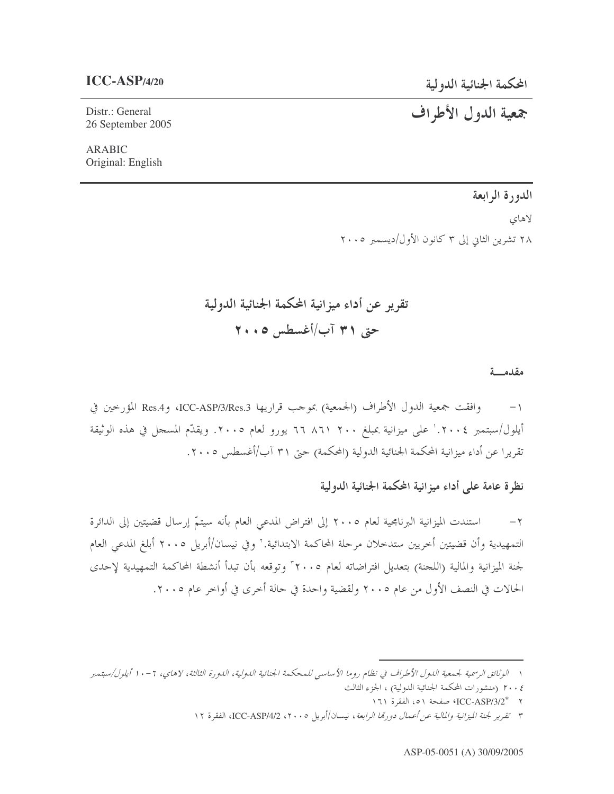## $ICC-ASP/4/20$

Distr.: General 26 September 2005

**ARABIC** Original: English جمعية الدول الأطراف

الدورة الرابعة لاهای ۲۸ تشرین الثانی إلی ۳ کانون الأول/دیسمبر ۲۰۰۰

## مقدمسة

وافقت جمعية الدول الأطراف (الجمعية) بموجب قراريها ICC-ASP/3/Res.3، وRes.4 المؤرخين في  $-1$ أيلول/سبتمبر ٢٠٠٤.' على ميزانية بمبلغ ٢٠٠ ٨٦١ برو رو لعام ٢٠٠٥. ويقدِّم المسجل في هذه الوثيقة تقريرا عن أداء ميزانية المحكمة الجنائية الدولية (المحكمة) حتى ٣١ آب/أغسطس ٢٠٠٥.

نظرة عامة على أداء ميزانية المحكمة الجنائية الدولية

استندت الميزانية البرنامجية لعام ٢٠٠٥ إلى افتراض المدعي العام بأنه سيتمّ إرسال قضيتين إلى الدائرة  $-\tau$ التمهيدية وأن قضيتين أخريين ستدخلان مرحلة المحاكمة الابتدائية.'' وفي نيسان/أبريل ٢٠٠٥ أبلغ المدعى العام لجنة الميزانية والمالية (اللجنة) بتعديل افتراضاته لعام ٢٠٠٥ وتوقعه بأن تبدأ أنشطة المحاكمة التمهيدية لإحدى الحالات في النصف الأول من عام ٢٠٠٥ ولقضية واحدة في حالة أخرى في أواخر عام ٢٠٠٥.

١ - الوثائق الرسمية لجيمعية الليول الأطراف في نظام روما الأساسي للمحكمة الجنائية الليولية، الليورة الثالثة، لاهاي، ٦ - ١ أيلول/سبتمبر

٢٠٠٤ (منشورات المحكمة الجنائية الدولية) ، الجزء الثالث

N = ^{\ICC-ASP/3/2}} صفحة ١٥١ الفقرة ١٦١

٣ تقرير لجنة الميزانية والمالية عن أعمال دورتما الرابعة، نيسان/أبريل ٢٠٠٥، ICC-ASP/4/2، الفقرة ١٢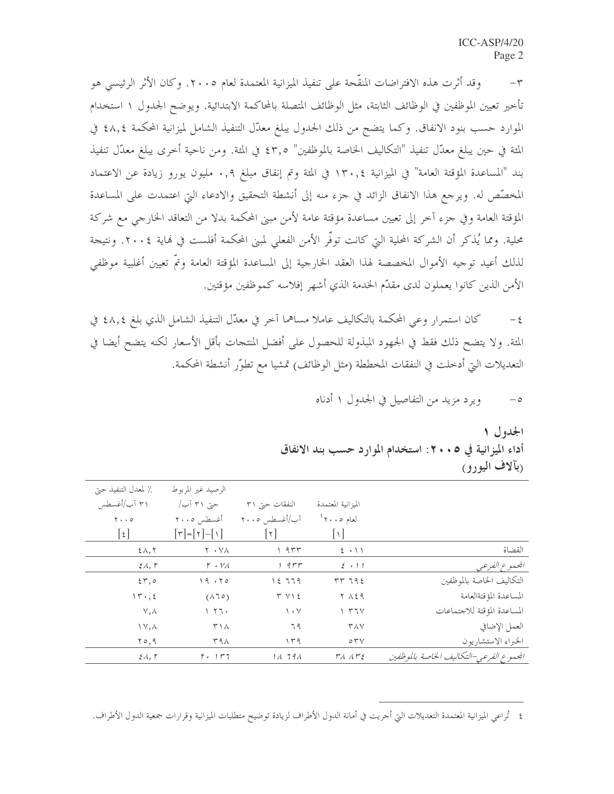وقد أثرت هذه الافتراضات المنقَّحة على تنفيذ الميزانية المعتمدة لعام ٢٠٠٥. وكان الأثر الرئيسي هو  $-\tau$ تأحير تعيين الموظفين في الوظائف الثابتة، مثل الوظائف المتصلة بالمحاكمة الابتدائية. ويوضح الجدول ١ استخدام الموارد حسب بنود الانفاق. وكما يتضح من ذلك الجدول يبلغ معدّل التنفيذ الشامل لميزانية المحكمة ٤٨,٤ في المثة في حين يبلغ معدّل تنفيذ "التكاليف الخاصة بالموظفين" ٤٣٫٥ في المثة. ومن ناحية أخرى يبلغ معدّل تنفيذ بند "المساعدة المؤقتة العامة" في الميزانية ١٣٠,٤ في المئة وتم إنفاق مبلغ ٠,٩ مليون يورو زيادة عن الاعتماد المخصِّص له. ويرجع هذا الانفاق الزائد في جزء منه إلى أنشطة التحقيق والادعاء التي اعتمدت على المساعدة المؤقتة العامة وفي جزء آخر إلى تعيين مساعدة مؤقتة عامة لأمن مبني المحكمة بدلا من التعاقد الخارجي مع شركة محلية. ومما يُذكر أن الشركة المحلية التي كانت توفُّر الأمن الفعلي لمبني المحكمة أفلست في نماية ٢٠٠٤. ونتيجة لذلك أعيد توجيه الأموال المخصصة لهذا العقد الخارجية إلى المساعدة المؤقتة العامة وتمّ تعيين أغلبية موظفي الأمن الذين كانوا يعملون لدى مقدّم الخدمة الذي أشهر إفلاسه كموظفين مؤقتين.

كان استمرار وعي المحكمة بالتكاليف عاملاً مساهما آخر في معدّل التنفيذ الشامل الذي بلغ ٤٨,٤ في  $-\xi$ المئة. ولا يتضح ذلك فقط في الجهود المبذولة للحصول على أفضل المنتحات بأقل الأسعار لكنه يتضح أيضا في التعديلات التي أدخلت في النفقات المخططة (مثل الوظائف) تمشيا مع تطوّر أنشطة المحكمة.

> ويرد مزيد من التفاصيل في الجدول ١ أدناه  $-\circ$

الجدول ۱ أداء الميز انية في ٥ • • ٢ : استخدام الموارد حسب بند الانفاق (بألاف اليورو)

| ٪ لمعدل التنفيذ حيّ                   | الرصيد غير المربوط                                                   |                        |                                                  |                                          |
|---------------------------------------|----------------------------------------------------------------------|------------------------|--------------------------------------------------|------------------------------------------|
| ۳۱ آب/أغسطس                           | حتی ۳۱ آب/                                                           | النفقات حتى ٣١         | الميز انية المعتمدة                              |                                          |
| $\mathbf{y} \cdot \cdot \mathbf{z}$   | أغسطس ٢٠٠٥                                                           | آب/أغسطس ٢٠٠٥          | $^2$ لعام ۲۰۰۵ $^3$                              |                                          |
| $\lvert \xi \rvert$                   | $\lfloor \tau \rfloor = \lfloor \tau \rfloor - \lfloor \tau \rfloor$ | $\lfloor \tau \rfloor$ | $\vert \cdot \vert$                              |                                          |
| $2\lambda,7$                          | Y · YA                                                               | ۳۳۳ ۱                  | $2 \cdot 11$                                     | القضاة                                   |
| $\mathcal{E} \Lambda$ , $\mathcal{L}$ | $r \cdot r$                                                          | $1.9 \mu \mu$          | $\{ \cdot \mid \cdot \rangle$                    | الجعموع الفرعي                           |
| $\S 7,0$                              | 19.50                                                                | 1279                   | rr792                                            | التكاليف الخاصة بالموظفين                |
| 11, 2                                 | $(\lambda 70)$                                                       | $T V \$                | Y 129                                            | المساعدة المؤقتةالعامة                   |
| $\vee, \wedge$                        | 177.                                                                 | $\setminus \cdot \vee$ | $\gamma$ $\tau \tau \gamma$                      | المساعدة المؤقتة للاجتماعات              |
| $\Upsilon \vee, \Lambda$              | $\Gamma \setminus \Lambda$                                           | ٦٩                     | <b>TAY</b>                                       | العمل الإضافي                            |
| 70,9                                  | ۳۹۸                                                                  | ۱۳۹                    | $\circ$ $\uparrow$ $\vee$                        | الحبراء الاستشاريون                      |
| $\mathcal{E}$ A, $\mathcal{L}$        | $\mathbf{r}$ . $\mathbf{r}$                                          | 11.791                 | $\Gamma$ $\Lambda$ $\Lambda$ $\Gamma$ $\epsilon$ | المحموع الفرعي-التكاليف الخاصة بالموظفين |

٤ تُراعى الميزانية المعتمدة التعديلات التي أحريت في أمانة الدول الأطراف لزيادة توضيح متطلبات الميزانية وقرارات جمعية الدول الأطراف.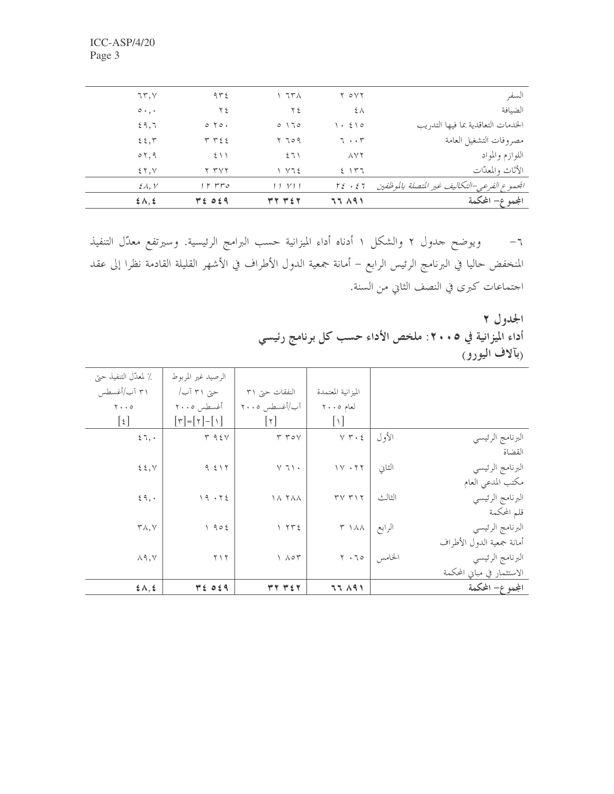| $2\lambda, 2$             | TE OE9                    | YY Y E       | 77 191                            | المجموع– المحكمة                             |
|---------------------------|---------------------------|--------------|-----------------------------------|----------------------------------------------|
| $\mathcal{E}$ A, Y        | ه ۳۳ ۲ ۱                  | 11 V11       | $\Gamma \xi \rightarrow \xi \tau$ | الجموع الفرعي–التكاليف غير المتصلة بالموظفين |
| 25.7                      | Y TVY                     | $\sqrt{125}$ | 5.147                             | الأثاث والمعدّات                             |
| $\circ$ 7, 9              | 511                       | 571          | $\Lambda V$ $\Upsilon$            | اللوازم والمواد                              |
| 25,7                      | ۳ ۳٤٤                     | ۲ ٦٥٩        | $7 \cdot \cdot 7$                 | مصروفات التشغيل العامة                       |
| 29.7                      | $0 \text{ } \text{ } 70.$ | 0170         | $\cdot$ { $\cdot$                 | الخدمات التعاقدية بما فيها التدريب           |
| $\circ \cdot \cdot \cdot$ | ع ۲                       | ۲٤           | ξλ                                | الضيافة                                      |
| 75, 7                     | 972                       | ۱ ۶۳۸        | Y OVY                             | السفر                                        |

٦– ويوضح جدول ٢ والشكل ١ أدناه أداء الميزانية حسب البرامج الرئيسية. وسيرتفع معدّل التنفيذ المنخفض حاليا في البرنامج الرئيس الرابع – أمانة جمعية الدول الأطراف في الأشهر القليلة القادمة نظرا إلى عقد اجتماعات كبرى في النصف الثاني من السنة.

> الجدول ٢ أداء الميزانية في ٢٠٠٥: ملخص الأداء حسب كل برنامج رئيسي ربألاف اليورو)

| ٪ لمعدّل التنفيذ حتى                | الرصيد غير المربوط                     |                          |                        |        |                            |
|-------------------------------------|----------------------------------------|--------------------------|------------------------|--------|----------------------------|
| ۳۱ آب/أغسطس                         | حتی ۳۱ آب/                             | النفقات حتى ٣١           | الميزانية المعتمدة     |        |                            |
| $\mathbf{Y} \cdot \cdot \mathbf{0}$ | أغسطس ٢٠٠٥                             | آب/أغسطس ٢٠٠٥            | لعام ٢٠٠٥              |        |                            |
| $[\mathfrak{t}]$                    | $[\uparrow] = [\uparrow] - [\uparrow]$ | $ \tau $                 | $\cup$                 |        |                            |
| 57,                                 | T95V                                   | YY                       | $Y \uparrow \cdot \xi$ | الأول  | البرنامج الرئيسي           |
|                                     |                                        |                          |                        |        | القضاة                     |
| $\xi \xi, V$                        | 9517                                   | $\lor$ 7 $\lor$ $\star$  | 11.77                  | الثاني | البرنامج الرئيسي           |
|                                     |                                        |                          |                        |        | مكتب المدعي العام          |
| 59,                                 | 19.55                                  | <b>18 744</b>            | $\tau v \tau v$        | الثالث | البرنامج الرئيسي           |
|                                     |                                        |                          |                        |        | قلم المحكمة                |
| $\mathsf{r}\wedge,\vee$             | 1905                                   | Y Y E                    | $\uparrow$ 1 A A       | الرابع | البرنامج الرئيسي           |
|                                     |                                        |                          |                        |        | أمانة جمعية الدول الأطراف  |
| $\wedge$ 9, $\vee$                  | $\mathbf{y} \wedge \mathbf{y}$         | $\Lambda$ $\circ$ $\tau$ | $\gamma \cdot 70$      | الخامس | البرنامج الرئيسي           |
|                                     |                                        |                          |                        |        | الاستثمار في مباني المحكمة |
| 5.1, 5                              | $P_{\epsilon}$ of 9                    | <b>٣٢ ٣٤٢</b>            | 77 191                 |        | المجموع– المحكمة           |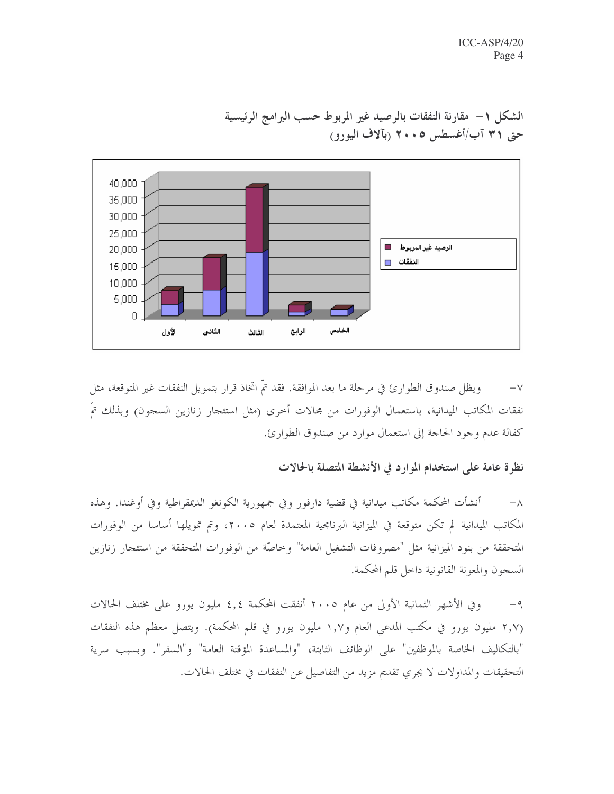

الشكل ١– مقارنة النفقات بالرصيد غير المربوط حسب البرامج الرئيسية حتى ٣١ آب/أغسطس ٢٠٠٥ (بآلاف اليورو)

ويظل صندوق الطوارئ في مرحلة ما بعد الموافقة. فقد تمَّ اتخاذ قرار بتمويل النفقات غير المتوقعة، مثل  $-\vee$ نفقات المكاتب الميدانية، باستعمال الوفورات من مجالات أخرى (مثل استئجار زنازين السجون) وبذلك تمَّ كفالة عدم وجود الحاجة إلى استعمال موارد من صندوق الطوارئ.

نظرة عامة على استخدام الموارد في الأنشطة المتصلة بالحالات

أنشأت المحكمة مكاتب ميدانية في قضية دارفور وفي جمهورية الكونغو الديمقراطية وفي أوغندا. وهذه  $-\lambda$ المكاتب الميدانية لم تكن متوقعة في الميزانية البرنامجية المعتمدة لعام ٢٠٠٥، وتم تمويلها أساسا من الوفورات المتحققة من بنود الميزانية مثل "مصروفات التشغيل العامة" وخاصّة من الوفورات المتحققة من استئجار زنازين السجون والمعونة القانونية داخل قلم المحكمة.

وفي الأشهر الثمانية الأولى من عام ٢٠٠٥ أنفقت المحكمة ٤,٤ مليون يورو على مختلف الحالات  $-9$ (٢,٧ مليون يورو في مكتب المدعى العام و١,٧ مليون يورو في قلم المحكمة). ويتصل معظم هذه النفقات "بالتكاليف الخاصة بالموظفين" على الوظائف الثابتة، "والمساعدة المؤقتة العامة" و"السفر". وبسبب سرية التحقيقات والمداولات لا يجري تقديم مزيد من التفاصيل عن النفقات في مختلف الحالات.